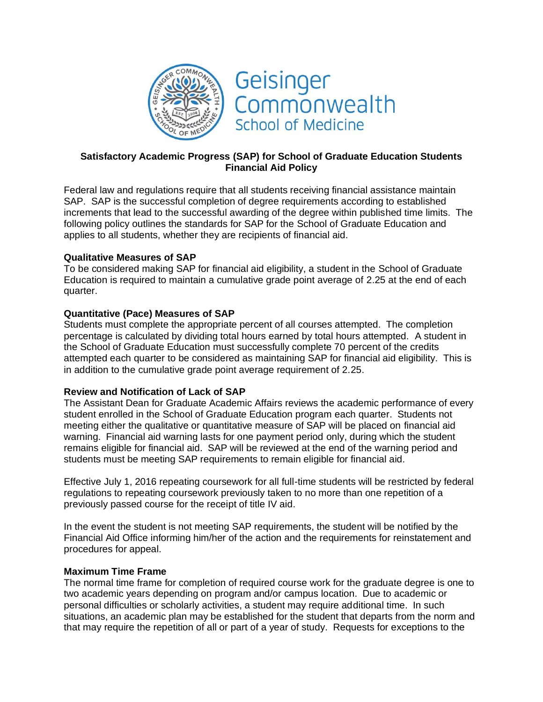



# **Satisfactory Academic Progress (SAP) for School of Graduate Education Students Financial Aid Policy**

Federal law and regulations require that all students receiving financial assistance maintain SAP. SAP is the successful completion of degree requirements according to established increments that lead to the successful awarding of the degree within published time limits. The following policy outlines the standards for SAP for the School of Graduate Education and applies to all students, whether they are recipients of financial aid.

### **Qualitative Measures of SAP**

To be considered making SAP for financial aid eligibility, a student in the School of Graduate Education is required to maintain a cumulative grade point average of 2.25 at the end of each quarter.

### **Quantitative (Pace) Measures of SAP**

Students must complete the appropriate percent of all courses attempted. The completion percentage is calculated by dividing total hours earned by total hours attempted. A student in the School of Graduate Education must successfully complete 70 percent of the credits attempted each quarter to be considered as maintaining SAP for financial aid eligibility. This is in addition to the cumulative grade point average requirement of 2.25.

# **Review and Notification of Lack of SAP**

The Assistant Dean for Graduate Academic Affairs reviews the academic performance of every student enrolled in the School of Graduate Education program each quarter. Students not meeting either the qualitative or quantitative measure of SAP will be placed on financial aid warning. Financial aid warning lasts for one payment period only, during which the student remains eligible for financial aid. SAP will be reviewed at the end of the warning period and students must be meeting SAP requirements to remain eligible for financial aid.

Effective July 1, 2016 repeating coursework for all full-time students will be restricted by federal regulations to repeating coursework previously taken to no more than one repetition of a previously passed course for the receipt of title IV aid.

In the event the student is not meeting SAP requirements, the student will be notified by the Financial Aid Office informing him/her of the action and the requirements for reinstatement and procedures for appeal.

#### **Maximum Time Frame**

The normal time frame for completion of required course work for the graduate degree is one to two academic years depending on program and/or campus location. Due to academic or personal difficulties or scholarly activities, a student may require additional time. In such situations, an academic plan may be established for the student that departs from the norm and that may require the repetition of all or part of a year of study. Requests for exceptions to the